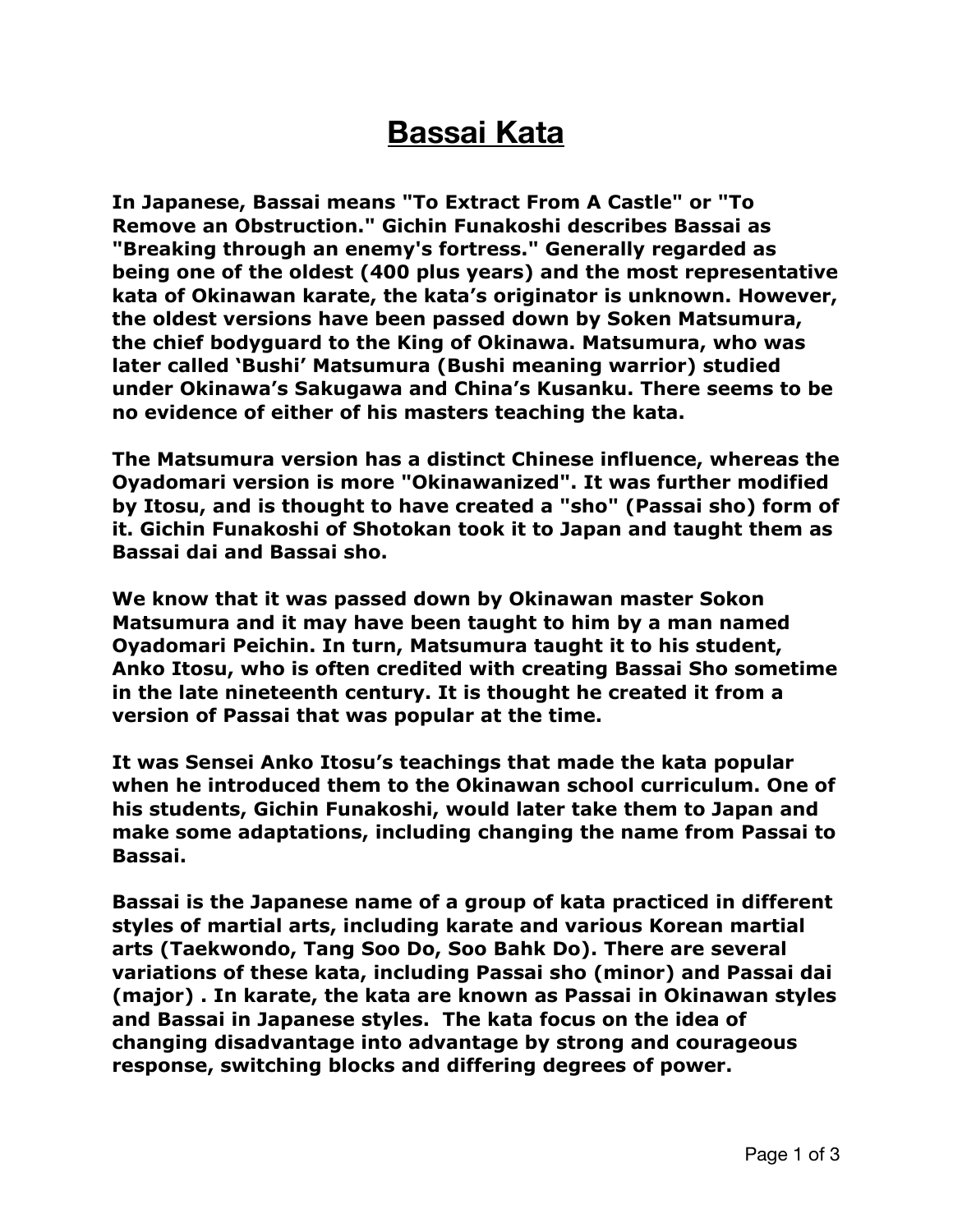## **Bassai Kata**

**In Japanese, Bassai means "To Extract From A Castle" or "To Remove an Obstruction." Gichin Funakoshi describes Bassai as "Breaking through an enemy's fortress." Generally regarded as being one of the oldest (400 plus years) and the most representative kata of Okinawan karate, the kata's originator is unknown. However, the oldest versions have been passed down by Soken Matsumura, the chief bodyguard to the King of Okinawa. Matsumura, who was later called 'Bushi' Matsumura (Bushi meaning warrior) studied under Okinawa's Sakugawa and China's Kusanku. There seems to be no evidence of either of his masters teaching the kata.** 

**The Matsumura version has a distinct Chinese influence, whereas the Oyadomari version is more "Okinawanized". It was further modified by Itosu, and is thought to have created a "sho" (Passai sho) form of it. Gichin Funakoshi of Shotokan took it to Japan and taught them as Bassai dai and Bassai sho.** 

**We know that it was passed down by Okinawan master Sokon Matsumura and it may have been taught to him by a man named Oyadomari Peichin. In turn, Matsumura taught it to his student, [Anko Itosu](https://www.historyoffighting.com/anko-itosu.php), who is often credited with creating Bassai Sho sometime in the late nineteenth century. It is thought he created it from a version of Passai that was popular at the time.** 

**It was Sensei Anko Itosu's teachings that made the kata popular when he introduced them to the Okinawan school curriculum. One of his students, [Gichin Funakoshi](https://www.historyoffighting.com/sensei-gichin-funakoshi.php), would later take them to Japan and make some adaptations, including changing the name from Passai to Bassai.** 

**Bassai is the Japanese name of a group of kata practiced in different styles of martial arts, including karate and various Korean martial arts (Taekwondo, Tang Soo Do, Soo Bahk Do). There are several variations of these kata, including Passai sho (minor) and Passai dai (major) . In karate, the kata are known as Passai in Okinawan styles and Bassai in Japanese styles. The kata focus on the idea of changing disadvantage into advantage by strong and courageous response, switching blocks and differing degrees of power.**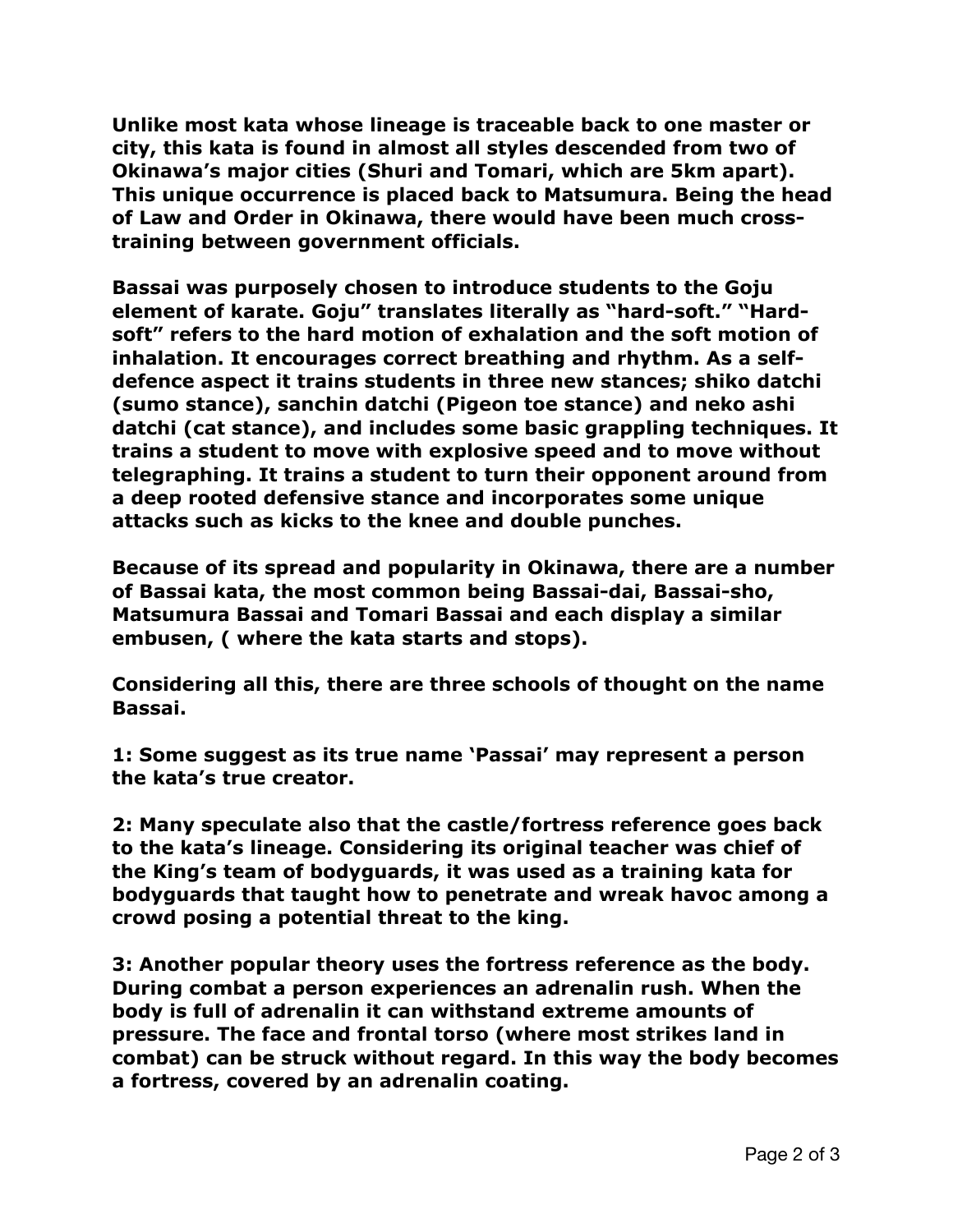**Unlike most kata whose lineage is traceable back to one master or city, this kata is found in almost all styles descended from two of Okinawa's major cities (Shuri and Tomari, which are 5km apart). This unique occurrence is placed back to Matsumura. Being the head of Law and Order in Okinawa, there would have been much crosstraining between government officials.** 

**Bassai was purposely chosen to introduce students to the Goju element of karate. Goju" translates literally as "hard-soft." "Hardsoft" refers to the hard motion of exhalation and the soft motion of inhalation. It encourages correct breathing and rhythm. As a selfdefence aspect it trains students in three new stances; shiko datchi (sumo stance), sanchin datchi (Pigeon toe stance) and neko ashi datchi (cat stance), and includes some basic grappling techniques. It trains a student to move with explosive speed and to move without telegraphing. It trains a student to turn their opponent around from a deep rooted defensive stance and incorporates some unique attacks such as kicks to the knee and double punches.** 

**Because of its spread and popularity in Okinawa, there are a number of Bassai kata, the most common being Bassai-dai, Bassai-sho, Matsumura Bassai and Tomari Bassai and each display a similar embusen, ( where the kata starts and stops).** 

**Considering all this, there are three schools of thought on the name Bassai.** 

**1: Some suggest as its true name 'Passai' may represent a person the kata's true creator.** 

**2: Many speculate also that the castle/fortress reference goes back to the kata's lineage. Considering its original teacher was chief of the King's team of bodyguards, it was used as a training kata for bodyguards that taught how to penetrate and wreak havoc among a crowd posing a potential threat to the king.** 

**3: Another popular theory uses the fortress reference as the body. During combat a person experiences an adrenalin rush. When the body is full of adrenalin it can withstand extreme amounts of pressure. The face and frontal torso (where most strikes land in combat) can be struck without regard. In this way the body becomes a fortress, covered by an adrenalin coating.**